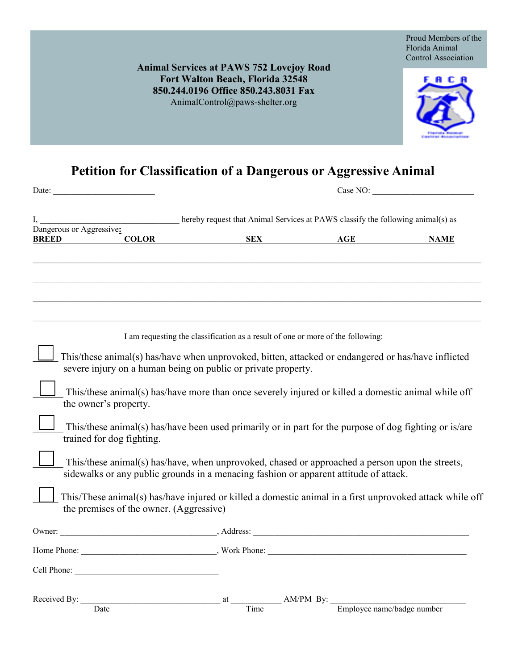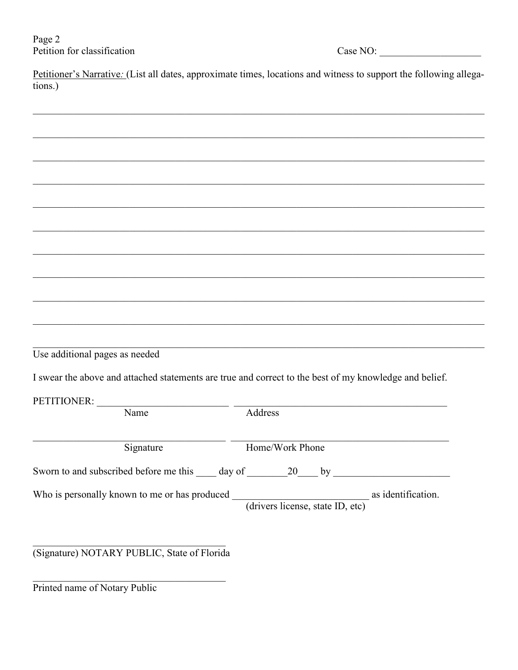Petitioner's Narrative: (List all dates, approximate times, locations and witness to support the following allegations.)

Use additional pages as needed

I swear the above and attached statements are true and correct to the best of my knowledge and belief.

PETITIONER·

| LETTITUIVEN.                                  |                                  |                    |
|-----------------------------------------------|----------------------------------|--------------------|
| Name                                          | Address                          |                    |
|                                               |                                  |                    |
| Signature                                     | Home/Work Phone                  |                    |
| Sworn to and subscribed before me this day of | 20<br>by                         |                    |
| Who is personally known to me or has produced |                                  | as identification. |
|                                               | (drivers license, state ID, etc) |                    |
|                                               |                                  |                    |

(Signature) NOTARY PUBLIC, State of Florida

Printed name of Notary Public